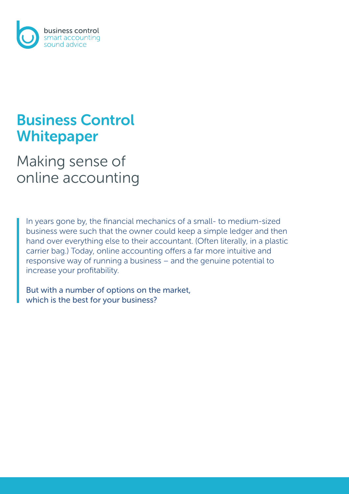

# Business Control Whitepaper

# Making sense of online accounting

In years gone by, the financial mechanics of a small- to medium-sized business were such that the owner could keep a simple ledger and then hand over everything else to their accountant. (Often literally, in a plastic carrier bag.) Today, online accounting offers a far more intuitive and responsive way of running a business – and the genuine potential to increase your profitability.

But with a number of options on the market, which is the best for your business?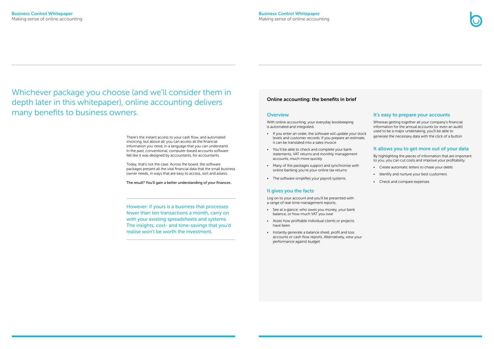Whichever package you choose (and we'll consider them in depth later in this whitepaper), online accounting delivers many benefits to business owners.

#### Online accounting: the benefits in brief

#### **Overview**

With online accounting, your everyday bookkeeping is automated and integrated.

- If you enter an order, the software will update your stock levels and customer records. If you prepare an estimate, it can be translated into a sales invoice
- You'll be able to check and complete your bank statements, VAT returns and monthly management accounts, much more quickly
- Many of the packages support and synchronise with online banking you're your online tax returns
- The software simplifies your payroll systems

## It gives you the facts

Log on to your account and you'll be presented with a range of real-time management reports.

- See at a glance: who owes you money, your bank balance, or how much VAT you owe
- Asses how profitable individual clients or projects have been
- Instantly generate a balance sheet, profit and loss accounts or cash flow reports. Alternatively, view your performance against budget



## It's easy to prepare your accounts

Whereas getting together all your company's financial information for the annual accounts (or even an audit) used to be a major undertaking, you'll be able to generate the necessary data with the click of a button

## It allows you to get more out of your data

By highlighting the pieces of information that are important to you, you can cut costs and improve your profitability.

- Create automatic letters to chase your debts
- Identify and nurture your best customers
- Check and compare expenses

However: if yours is a business that processes fewer than ten transactions a month, carry on with your existing spreadsheets and systems. The insights, cost- and time-savings that you'd realise won't be worth the investment.

There's the instant access to your cash flow, and automated invoicing, but above all: you can access all the financial information you need, in a language that you can understand. In the past, conventional, computer-based accounts software felt like it was designed by accountants, for accountants.

Today, that's not the case. Across the board, the software packages present all the vital financial data that the small business owner needs, in ways that are easy to access, sort and assess.

The result? You'll gain a better understanding of your finances.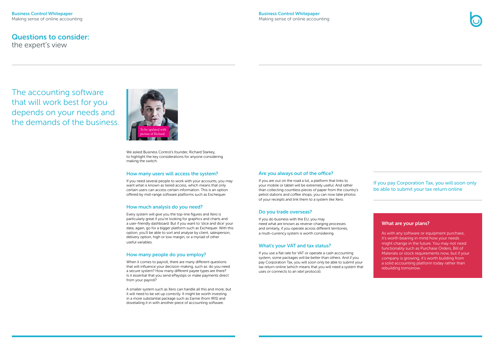The accounting software that will work best for you depends on your needs and the demands of the business.



We asked Business Control's founder, Richard Starkey, to highlight the key considerations for anyone considering making the switch.

#### How many users will access the system?

If you need several people to work with your accounts, you may want what is known as tiered access, which means that only certain users can access certain information. This is an option offered by mid-range software platforms such as Exchequer.

## How much analysis do you need?

Every system will give you the top-line figures and Xero is particularly great if you're looking for graphics and charts and a user-friendly dashboard. But if you want to 'slice and dice' your data, again, go for a bigger platform such as Exchequer. With this option, you'll be able to sort and analyse by client, salesperson, delivery option, high or low margin, or a myriad of other useful variables.

## How many people do you employ?

When it comes to payroll, there are many different questions that will influence your decision-making, such as: do you need a secure system? How many different payee types are there? Is it essential that you send ePayslips or make payments direct from your payroll?

A smaller system such as Xero can handle all this and more, but it will need to be set up correctly. It might be worth investing in a more substantial package such as Earnie (from IRIS) and dovetailing it in with another piece of accounting software.

#### Are you always out of the office?

If you are out on the road a lot, a platform that links to your mobile or tablet will be extremely useful. And rather than collecting countless pieces of paper from the country's petrol stations and coffee shops, you can now take photos of your receipts and link them to a system like Xero.

## Do you trade overseas?

If you do business with the EU, you may need what are known as reverse-charging processes and similarly, if you operate across different territories, a multi-currency system is worth considering.

## What's your VAT and tax status?

If you use a flat rate for VAT or operate a cash accounting system, some packages will be better than others. And if you pay Corporation Tax, you will soon only be able to submit your tax return online (which means that you will need a system that uses or connects to an ixbrl protocol).



## If you pay Corporation Tax, you will soon only be able to submit your tax return online

## What are your plans?

As with any software or equipment purchase, it's worth bearing in mind how your needs might change in the future. You may not need functionality such as Purchase Orders, Bill of Materials or stock requirements now, but if your company is growing, it's worth building from a solid accounting platform today rather than rebuilding tomorrow.

## Questions to consider:

the expert's view

#### Business Control Whitepaper Making sense of online accounting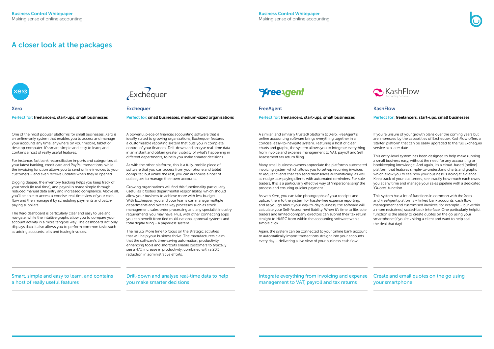#### FreeAgent

#### Perfect for: freelancers, start-ups, small businesses

A similar (and similarly trusted) platform to Xero, FreeAgent's online accounting software brings everything together in a concise, easy-to-navigate system. Featuring a host of clear charts and graphs, the system allows you to integrate everything from invoice and expense management to VAT, payroll and Self Assessment tax return filing.

Many small business owners appreciate the platform's automated invoicing system which allows you to set-up recurring invoices to regular clients that can send themselves automatically, as well as nudge late-paying clients with automated reminders. For sole traders, this is a particularly effective way of 'impersonalising' the process and ensuring quicker payment.

As with Xero, you can take photographs of your receipts and upload them to the system for hassle-free expense reporting, and as you go about your day-to-day business, the software will calculate your Self-Assessment liability. When it's time to file, sole traders and limited company directors can submit their tax return straight to HMRC from within the accounting software with a simple click.

Again, the system can be connected to your online bank account to automatically import transactions straight into your accounts every day – delivering a live view of your business cash flow.

## KashFlow

#### Perfect for: freelancers, start-ups, small businesses

If you're unsure of your growth plans over the coming years but are impressed by the capabilities of Exchequer, KashFlow offers a 'starter' platform that can be easily upgraded to the full Exchequer service at a later date.

This entry-level system has been designed to help make running a small business easy, without the need for any accounting or bookkeeping knowledge. And again, it's a cloud-based (online) platform that features simple-to-understand charts and graphs which allow you to see how your business is doing at a glance. Keep track of your customers, see exactly how much each owes you at any time and manage your sales pipeline with a dedicated 'Quotes' function.

This system has a lot of functions in common with the Xero and FreeAgent platforms – linked bank accounts, cash flow management and customised invoices, for example – but within a more restrained, scaled-back interface. One particularly helpful function is the ability to create quotes on the go using your smartphone (if you're visiting a client and want to help seal the deal that day).

#### Xero

Perfect for: freelancers, start-ups, small businesses

One of the most popular platforms for small businesses, Xero is an online-only system that enables you to access and manage your accounts any time, anywhere on your mobile, tablet or desktop computer. It's smart, simple and easy to learn, and contains a host of really useful features.

For instance, fast bank reconciliation imports and categorises all your latest banking, credit card and PayPal transactions, while the invoicing function allows you to send online invoices to your customers – and even receive updates when they're opened.

Digging deeper, the inventory tracking helps you keep track of your stock (in real time), and payroll is made simple through reduced manual data entry and increased compliance. Above all, you'll be able to access a concise, real-time view of your cash flow and then manage it by scheduling payments and batchpaying suppliers.

The Xero dashboard is particularly clear and easy to use and navigate, while the intuitive graphs allow you to compare your account activity in a more tangible way. The dashboard not only displays data, it also allows you to perform common tasks such as adding accounts, bills and issuing invoices.



#### **Exchequer**

#### Perfect for: small businesses, medium-sized organisations

A powerful piece of financial accounting software that is ideally suited to growing organizations, Exchequer features a customisable reporting system that puts you in complete control of your finances. Drill-down and analyse real-time data in an instant and obtain greater visibility of what's happening in different departments, to help you make smarter decisions.

As with the other platforms, this is a fully-mobile piece of software that you can access from your phone and tablet computer, but unlike the rest, you can authorise a host of colleagues to manage their own accounts.

Growing organisations will find this functionality particularly useful as it fosters departmental responsibility, which should allow your business to achieve more with less budget. With Exchequer, you and your teams can manage multiple departments and oversee key processes such as stock management, sales order processing and any specialist industry requirements you may have. Plus, with other connecting apps, you can benefit from tied multi-national approval systems and total digital filing – a paperless system.

The result? More time to focus on the strategic activities that will help your business thrive. The manufacturers claim that the software's time-saving automation, productivity enhancing tools and shortcuts enable customers to typically see a 47% increase in productivity, combined with a 20% reduction in administrative efforts.

## A closer look at the packages



## Smart, simple and easy to learn, and contains a host of really useful features

Integrate everything from invoicing and expense management to VAT, payroll and tax returns





Drill-down and analyse real-time data to help you make smarter decisions

## Preesgent

Create and email quotes on the go using your smartphone